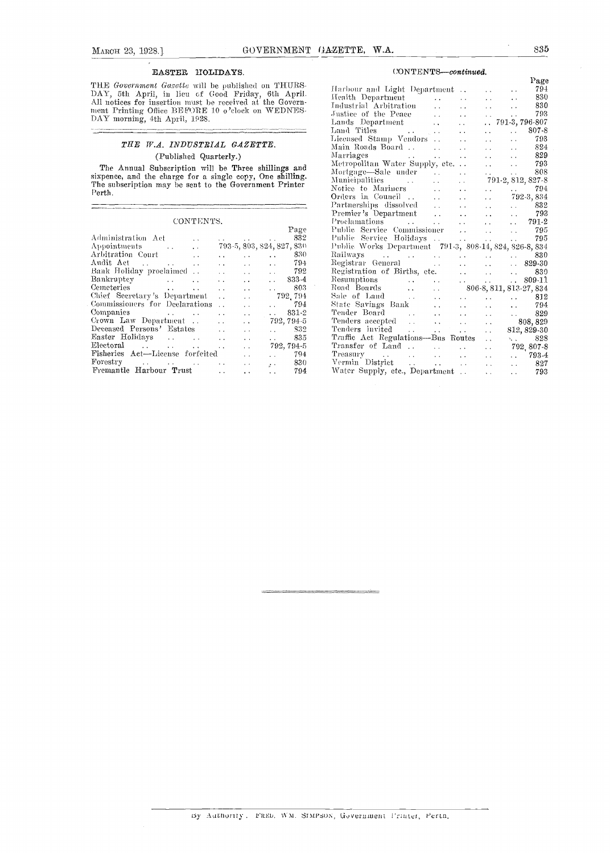$\equiv$ 

#### EASTER HOLIDAYS.

THE Government Gazette will be published on THURS-<br>DAY, 5th April, in lieu of Good Friday, 6th April. Hen<br>All notices for insertion must be received at the Government. Printing Office BE FORE 10 o 'clock on WEDNES-DAY morning, 4th April, 1928.

#### THE W.A. INDUSTRIAL GAZETTE. (Published Quarterly.)

The Annual Subscription will be Three shillings and  $\frac{m_{\text{eff}}}{\text{Morto}}$ sixpence, and the charge for a single copy, One shilling.<br>The subscription may be sent to the Government Printer  $\Gamma$ 

#### ${\bf CONT}$  ENTS.

|                                                        |                        |                      | Page                                      | Pub          |
|--------------------------------------------------------|------------------------|----------------------|-------------------------------------------|--------------|
| Administration Act<br>$\cdot$ $\cdot$                  |                        |                      | 832<br>and the state of the state of the  | Pub          |
| Appointments<br>$\ddot{\phantom{0}}$                   |                        |                      | 793-5, 803, 824, 827, 830                 | $P_{11}$     |
| Arbitration Court<br>$\ddot{\phantom{a}}$              | $\ddot{\phantom{a}}$   | $\sim$ $\sim$        | 830<br>and the con-                       | Rail         |
| Audit Act<br><b>Contractor</b><br>$\ddot{\phantom{a}}$ | $\ddot{\phantom{0}}$   | <b>Contractor</b>    | 794<br>and the con-                       | $_{\rm Reg}$ |
| Bank Holiday proclaimed<br>$\ddot{\phantom{0}}$        | $\ddot{\phantom{0}}$   | $\sim$ $\sim$        | 792<br>and the con-                       | $_{\rm Rez}$ |
| Bankruptcy<br>$\ddot{\phantom{a}}$                     | $\sim$ $\sim$          | $\ddot{\phantom{a}}$ | 833-4<br><b>Allen Control</b>             | Rest         |
| Cemeteries<br>$\sim$ $\sim$                            | $\ddot{\phantom{a}}$   | $\ddot{\phantom{a}}$ | 803.<br>$\cdots$                          | Roa          |
| Chief Secretary's Department                           | $\ddot{\phantom{a}}$   | $\ddot{\phantom{0}}$ | 792.794                                   | Sale         |
| Commissioners for Declarations                         | $\ddot{\phantom{0}}$   | $\ddot{\phantom{1}}$ | - 794<br>$\mathbf{r}$                     | Stat         |
|                                                        | $\ddot{\phantom{a}}$   | $\sim$ $\sim$        | 831-2<br>$\sim 10^{-10}$                  | Ten          |
| Grown Law Department                                   | $\sim$ $\sim$          | $\ddot{\phantom{1}}$ | 792, 794-5                                | Ten          |
| Deceased Persons' Estates                              | $\ddot{\phantom{a}}$   | $\ddot{\phantom{1}}$ | <b>S32</b><br>a an control                | Ten          |
|                                                        | $\ddot{\phantom{0}}$   | $\ddot{\phantom{1}}$ | 835                                       | Tra:         |
|                                                        | $\sim$                 | $\ddot{\phantom{0}}$ | 792, 794-5                                | Tra:         |
| Fisheries Act-License forfeited                        |                        | $\cdot$ $\cdot$      | 794<br>$\sim 10^{-10}$                    | Tre:         |
|                                                        | Alberta Co             | $\ddot{\phantom{0}}$ | 830<br>$\mathbf{y} \leftarrow \mathbf{y}$ | Ver:         |
| Fremantle Harbour Trust                                | $\ddot{\phantom{a}}$ . | $\ddot{\phantom{0}}$ | 794<br>$\sim 10^{-1}$                     | Wat          |
|                                                        |                        |                      |                                           |              |

#### $CONTENTS—continued.$

|                                                                                                                                                                                                                                                                 |  | Page |
|-----------------------------------------------------------------------------------------------------------------------------------------------------------------------------------------------------------------------------------------------------------------|--|------|
| Harbour and Light Department 794<br>Health Department 830                                                                                                                                                                                                       |  |      |
| Health Department (1999)    330<br>1930 - Industrial Arbitration (1999)    1930                                                                                                                                                                                 |  |      |
|                                                                                                                                                                                                                                                                 |  |      |
|                                                                                                                                                                                                                                                                 |  |      |
|                                                                                                                                                                                                                                                                 |  |      |
| Land Titles 807-8                                                                                                                                                                                                                                               |  |      |
|                                                                                                                                                                                                                                                                 |  |      |
|                                                                                                                                                                                                                                                                 |  |      |
|                                                                                                                                                                                                                                                                 |  |      |
|                                                                                                                                                                                                                                                                 |  |      |
|                                                                                                                                                                                                                                                                 |  |      |
| Land Titles<br>Lieensed Stamp Vendors<br>Main Roads Board<br>Main Roads Board<br>Marriages<br>Marriages<br>Marriages<br>Marriages<br>Marriages<br>Marriages<br>Marriages<br>Marriages<br>Marriages<br>Mainicipalities<br>Mainicipalities<br>Mainicipalities<br> |  |      |
|                                                                                                                                                                                                                                                                 |  |      |
|                                                                                                                                                                                                                                                                 |  |      |
|                                                                                                                                                                                                                                                                 |  |      |
|                                                                                                                                                                                                                                                                 |  |      |
|                                                                                                                                                                                                                                                                 |  |      |
|                                                                                                                                                                                                                                                                 |  |      |
|                                                                                                                                                                                                                                                                 |  |      |
| Public Service Holidays     795<br>Public Works Department 791-3, 808-14, 824, 826-8, 834                                                                                                                                                                       |  |      |
|                                                                                                                                                                                                                                                                 |  |      |
| Railways 830<br>Registrar General 829-30                                                                                                                                                                                                                        |  |      |
|                                                                                                                                                                                                                                                                 |  |      |
|                                                                                                                                                                                                                                                                 |  |      |
|                                                                                                                                                                                                                                                                 |  |      |
|                                                                                                                                                                                                                                                                 |  |      |
|                                                                                                                                                                                                                                                                 |  |      |
|                                                                                                                                                                                                                                                                 |  |      |
| Egistration of Births, etc.<br>Resumptions<br>Resumptions<br>Resumptions<br>Resumptions<br>Resumptions<br>Resumptions<br>Resumptions<br>Correct Board (1994)<br>State Savings Bank<br>Tenders accepted<br>Cenders invited<br>Tenders invited<br>Tenders         |  |      |
|                                                                                                                                                                                                                                                                 |  |      |
|                                                                                                                                                                                                                                                                 |  |      |
|                                                                                                                                                                                                                                                                 |  |      |
|                                                                                                                                                                                                                                                                 |  |      |
| Vermin District     827                                                                                                                                                                                                                                         |  |      |
| Water Supply, etc., Department 793                                                                                                                                                                                                                              |  |      |
|                                                                                                                                                                                                                                                                 |  |      |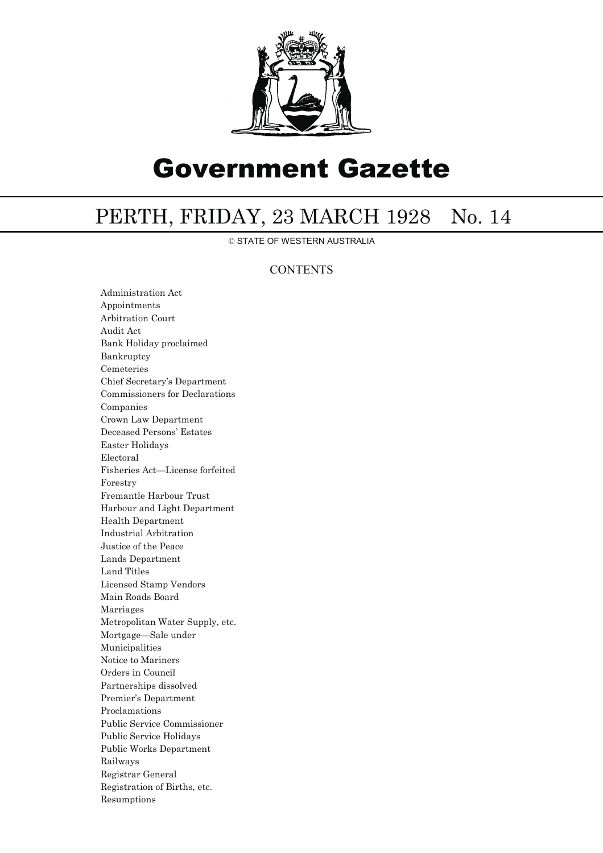

# Government Gazette

## PERTH, FRIDAY, 23 MARCH 1928 No. 14

© STATE OF WESTERN AUSTRALIA

### **CONTENTS**

Administration Act Appointments Arbitration Court Audit Act Bank Holiday proclaimed Bankruptcy Cemeteries Chief Secretary's Department Commissioners for Declarations Companies Crown Law Department Deceased Persons' Estates Easter Holidays Electoral Fisheries Act—License forfeited Forestry Fremantle Harbour Trust Harbour and Light Department Health Department Industrial Arbitration Justice of the Peace Lands Department Land Titles Licensed Stamp Vendors Main Roads Board Marriages Metropolitan Water Supply, etc. Mortgage—Sale under Municipalities Notice to Mariners Orders in Council Partnerships dissolved Premier's Department Proclamations Public Service Commissioner Public Service Holidays Public Works Department Railways Registrar General Registration of Births, etc. Resumptions